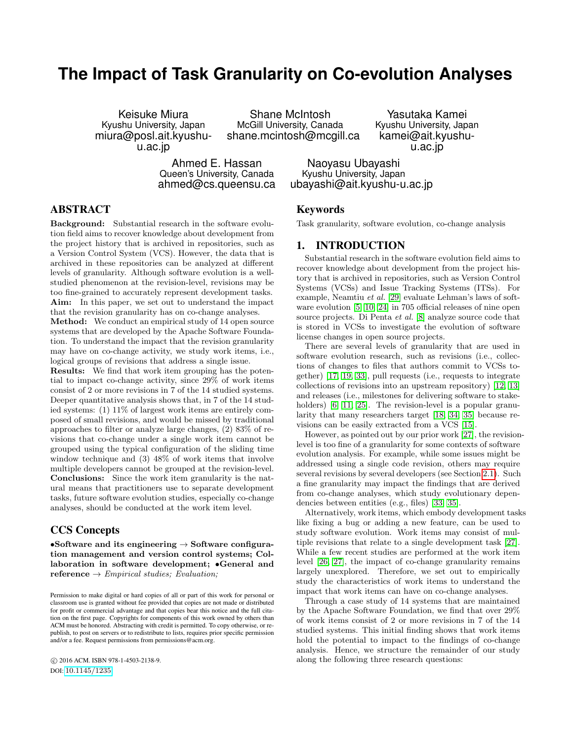# **The Impact of Task Granularity on Co-evolution Analyses**

Keisuke Miura Kyushu University, Japan miura@posl.ait.kyushuu.ac.jp

Shane McIntosh McGill University, Canada shane.mcintosh@mcgill.ca

Ahmed E. Hassan Queen's University, Canada ahmed@cs.queensu.ca

Yasutaka Kamei Kyushu University, Japan kamei@ait.kyushuu.ac.jp

Naoyasu Ubayashi Kyushu University, Japan ubayashi@ait.kyushu-u.ac.jp

### ABSTRACT

Background: Substantial research in the software evolution field aims to recover knowledge about development from the project history that is archived in repositories, such as a Version Control System (VCS). However, the data that is archived in these repositories can be analyzed at different levels of granularity. Although software evolution is a wellstudied phenomenon at the revision-level, revisions may be too fine-grained to accurately represent development tasks. Aim: In this paper, we set out to understand the impact that the revision granularity has on co-change analyses.

Method: We conduct an empirical study of 14 open source systems that are developed by the Apache Software Foundation. To understand the impact that the revision granularity may have on co-change activity, we study work items, i.e., logical groups of revisions that address a single issue.

Results: We find that work item grouping has the potential to impact co-change activity, since 29% of work items consist of 2 or more revisions in 7 of the 14 studied systems. Deeper quantitative analysis shows that, in 7 of the 14 studied systems: (1) 11% of largest work items are entirely composed of small revisions, and would be missed by traditional approaches to filter or analyze large changes, (2) 83% of revisions that co-change under a single work item cannot be grouped using the typical configuration of the sliding time window technique and (3) 48% of work items that involve multiple developers cannot be grouped at the revision-level. Conclusions: Since the work item granularity is the natural means that practitioners use to separate development tasks, future software evolution studies, especially co-change analyses, should be conducted at the work item level.

### CCS Concepts

•Software and its engineering  $\rightarrow$  Software configuration management and version control systems; Collaboration in software development; •General and  $\mathbf{reference} \rightarrow Empirical \ studies; \ Evaluation;$ 

 c 2016 ACM. ISBN 978-1-4503-2138-9. DOI: <10.1145/1235>

### Keywords

Task granularity, software evolution, co-change analysis

### 1. INTRODUCTION

Substantial research in the software evolution field aims to recover knowledge about development from the project history that is archived in repositories, such as Version Control Systems (VCSs) and Issue Tracking Systems (ITSs). For example, Neamtiu et al. [\[29\]](#page-9-0) evaluate Lehman's laws of software evolution [\[5,](#page-8-0) [10,](#page-9-1) [24\]](#page-9-2) in 705 official releases of nine open source projects. Di Penta *et al.* [\[8\]](#page-8-1) analyze source code that is stored in VCSs to investigate the evolution of software license changes in open source projects.

There are several levels of granularity that are used in software evolution research, such as revisions (i.e., collections of changes to files that authors commit to VCSs together) [\[17,](#page-9-3) [19,](#page-9-4) [33\]](#page-9-5), pull requests (i.e., requests to integrate collections of revisions into an upstream repository) [\[12,](#page-9-6) [13\]](#page-9-7) and releases (i.e., milestones for delivering software to stake-holders) [\[6,](#page-8-2) [11,](#page-9-8) [25\]](#page-9-9). The revision-level is a popular granularity that many researchers target [\[18,](#page-9-10) [34,](#page-9-11) [35\]](#page-9-12) because revisions can be easily extracted from a VCS [\[15\]](#page-9-13).

However, as pointed out by our prior work [\[27\]](#page-9-14), the revisionlevel is too fine of a granularity for some contexts of software evolution analysis. For example, while some issues might be addressed using a single code revision, others may require several revisions by several developers (see Section [2.1\)](#page-1-0). Such a fine granularity may impact the findings that are derived from co-change analyses, which study evolutionary dependencies between entities (e.g., files) [\[33,](#page-9-5) [35\]](#page-9-12).

Alternatively, work items, which embody development tasks like fixing a bug or adding a new feature, can be used to study software evolution. Work items may consist of multiple revisions that relate to a single development task [\[27\]](#page-9-14). While a few recent studies are performed at the work item level [\[26,](#page-9-15) [27\]](#page-9-14), the impact of co-change granularity remains largely unexplored. Therefore, we set out to empirically study the characteristics of work items to understand the impact that work items can have on co-change analyses.

Through a case study of 14 systems that are maintained by the Apache Software Foundation, we find that over 29% of work items consist of 2 or more revisions in 7 of the 14 studied systems. This initial finding shows that work items hold the potential to impact to the findings of co-change analysis. Hence, we structure the remainder of our study along the following three research questions:

Permission to make digital or hard copies of all or part of this work for personal or classroom use is granted without fee provided that copies are not made or distributed for profit or commercial advantage and that copies bear this notice and the full citation on the first page. Copyrights for components of this work owned by others than ACM must be honored. Abstracting with credit is permitted. To copy otherwise, or republish, to post on servers or to redistribute to lists, requires prior specific permission and/or a fee. Request permissions from permissions@acm.org.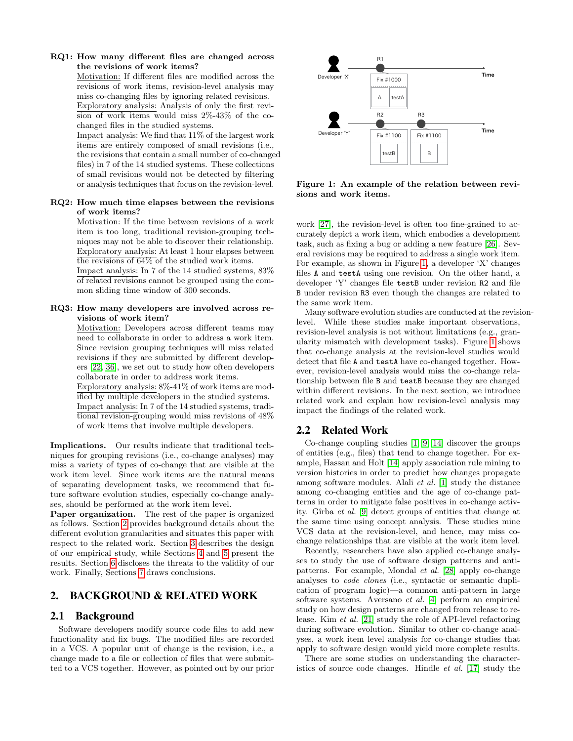### RQ1: How many different files are changed across the revisions of work items?

Motivation: If different files are modified across the revisions of work items, revision-level analysis may miss co-changing files by ignoring related revisions. Exploratory analysis: Analysis of only the first revision of work items would miss 2%-43% of the cochanged files in the studied systems.

Impact analysis: We find that 11% of the largest work items are entirely composed of small revisions (i.e., the revisions that contain a small number of co-changed files) in 7 of the 14 studied systems. These collections of small revisions would not be detected by filtering or analysis techniques that focus on the revision-level.

### RQ2: How much time elapses between the revisions of work items?

Motivation: If the time between revisions of a work item is too long, traditional revision-grouping techniques may not be able to discover their relationship. Exploratory analysis: At least 1 hour elapses between the revisions of 64% of the studied work items.

Impact analysis: In 7 of the 14 studied systems, 83% of related revisions cannot be grouped using the common sliding time window of 300 seconds.

#### RQ3: How many developers are involved across revisions of work item?

Motivation: Developers across different teams may need to collaborate in order to address a work item. Since revision grouping techniques will miss related revisions if they are submitted by different developers [\[22,](#page-9-16) [36\]](#page-9-17), we set out to study how often developers collaborate in order to address work items.

Exploratory analysis: 8%-41% of work items are modified by multiple developers in the studied systems. Impact analysis: In 7 of the 14 studied systems, traditional revision-grouping would miss revisions of 48% of work items that involve multiple developers.

Implications. Our results indicate that traditional techniques for grouping revisions (i.e., co-change analyses) may miss a variety of types of co-change that are visible at the work item level. Since work items are the natural means of separating development tasks, we recommend that future software evolution studies, especially co-change analyses, should be performed at the work item level.

Paper organization. The rest of the paper is organized as follows. Section [2](#page-1-1) provides background details about the different evolution granularities and situates this paper with respect to the related work. Section [3](#page-2-0) describes the design of our empirical study, while Sections [4](#page-2-1) and [5](#page-3-0) present the results. Section [6](#page-7-0) discloses the threats to the validity of our work. Finally, Sections [7](#page-8-3) draws conclusions.

# <span id="page-1-1"></span>2. BACKGROUND & RELATED WORK

### <span id="page-1-0"></span>2.1 Background

Software developers modify source code files to add new functionality and fix bugs. The modified files are recorded in a VCS. A popular unit of change is the revision, i.e., a change made to a file or collection of files that were submitted to a VCS together. However, as pointed out by our prior



<span id="page-1-2"></span>Figure 1: An example of the relation between revisions and work items.

work [\[27\]](#page-9-14), the revision-level is often too fine-grained to accurately depict a work item, which embodies a development task, such as fixing a bug or adding a new feature [\[26\]](#page-9-15). Several revisions may be required to address a single work item. For example, as shown in Figure [1,](#page-1-2) a developer 'X' changes files A and testA using one revision. On the other hand, a developer 'Y' changes file testB under revision R2 and file B under revision R3 even though the changes are related to the same work item.

Many software evolution studies are conducted at the revisionlevel. While these studies make important observations, revision-level analysis is not without limitations (e.g., granularity mismatch with development tasks). Figure [1](#page-1-2) shows that co-change analysis at the revision-level studies would detect that file A and testA have co-changed together. However, revision-level analysis would miss the co-change relationship between file B and testB because they are changed within different revisions. In the next section, we introduce related work and explain how revision-level analysis may impact the findings of the related work.

# 2.2 Related Work

Co-change coupling studies [\[1,](#page-8-4) [9,](#page-9-18) [14\]](#page-9-19) discover the groups of entities (e.g., files) that tend to change together. For example, Hassan and Holt [\[14\]](#page-9-19) apply association rule mining to version histories in order to predict how changes propagate among software modules. Alali et al. [\[1\]](#page-8-4) study the distance among co-changing entities and the age of co-change patterns in order to mitigate false positives in co-change activ-ity. Gîrba et al. [\[9\]](#page-9-18) detect groups of entities that change at the same time using concept analysis. These studies mine VCS data at the revision-level, and hence, may miss cochange relationships that are visible at the work item level.

Recently, researchers have also applied co-change analyses to study the use of software design patterns and antipatterns. For example, Mondal et al. [\[28\]](#page-9-20) apply co-change analyses to code clones (i.e., syntactic or semantic duplication of program logic)—a common anti-pattern in large software systems. Aversano et al. [\[4\]](#page-8-5) perform an empirical study on how design patterns are changed from release to release. Kim et al. [\[21\]](#page-9-21) study the role of API-level refactoring during software evolution. Similar to other co-change analyses, a work item level analysis for co-change studies that apply to software design would yield more complete results.

There are some studies on understanding the characteristics of source code changes. Hindle et al. [\[17\]](#page-9-3) study the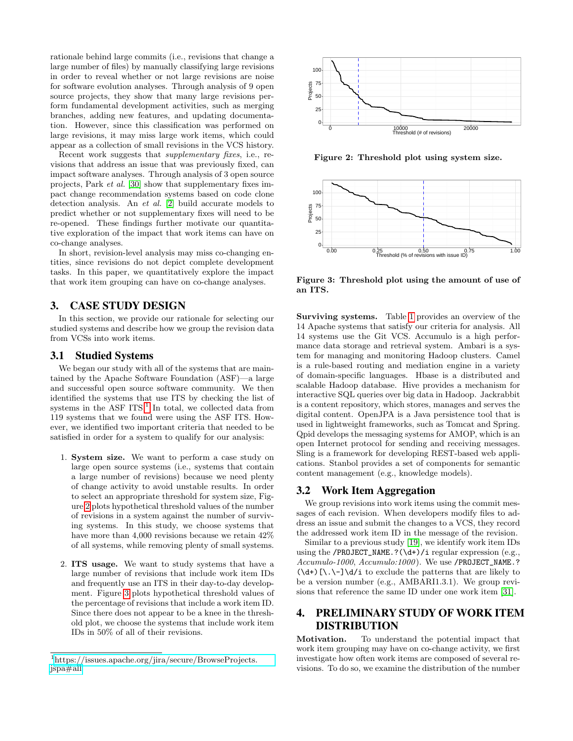rationale behind large commits (i.e., revisions that change a large number of files) by manually classifying large revisions in order to reveal whether or not large revisions are noise for software evolution analyses. Through analysis of 9 open source projects, they show that many large revisions perform fundamental development activities, such as merging branches, adding new features, and updating documentation. However, since this classification was performed on large revisions, it may miss large work items, which could appear as a collection of small revisions in the VCS history.

Recent work suggests that supplementary fixes, i.e., revisions that address an issue that was previously fixed, can impact software analyses. Through analysis of 3 open source projects, Park et al. [\[30\]](#page-9-22) show that supplementary fixes impact change recommendation systems based on code clone detection analysis. An et al. [\[2\]](#page-8-6) build accurate models to predict whether or not supplementary fixes will need to be re-opened. These findings further motivate our quantitative exploration of the impact that work items can have on co-change analyses.

In short, revision-level analysis may miss co-changing entities, since revisions do not depict complete development tasks. In this paper, we quantitatively explore the impact that work item grouping can have on co-change analyses.

### <span id="page-2-0"></span>3. CASE STUDY DESIGN

In this section, we provide our rationale for selecting our studied systems and describe how we group the revision data from VCSs into work items.

### 3.1 Studied Systems

We began our study with all of the systems that are maintained by the Apache Software Foundation (ASF)—a large and successful open source software community. We then identified the systems that use ITS by checking the list of systems in the ASF  $ITS<sup>1</sup>$  $ITS<sup>1</sup>$  $ITS<sup>1</sup>$  In total, we collected data from 119 systems that we found were using the ASF ITS. However, we identified two important criteria that needed to be satisfied in order for a system to qualify for our analysis:

- 1. System size. We want to perform a case study on large open source systems (i.e., systems that contain a large number of revisions) because we need plenty of change activity to avoid unstable results. In order to select an appropriate threshold for system size, Figure [2](#page-2-3) plots hypothetical threshold values of the number of revisions in a system against the number of surviving systems. In this study, we choose systems that have more than 4,000 revisions because we retain 42% of all systems, while removing plenty of small systems.
- 2. ITS usage. We want to study systems that have a large number of revisions that include work item IDs and frequently use an ITS in their day-to-day development. Figure [3](#page-2-4) plots hypothetical threshold values of the percentage of revisions that include a work item ID. Since there does not appear to be a knee in the threshold plot, we choose the systems that include work item IDs in 50% of all of their revisions.



<span id="page-2-3"></span>Figure 2: Threshold plot using system size.



<span id="page-2-4"></span>Figure 3: Threshold plot using the amount of use of an ITS.

Surviving systems. Table [1](#page-3-1) provides an overview of the 14 Apache systems that satisfy our criteria for analysis. All 14 systems use the Git VCS. Accumulo is a high performance data storage and retrieval system. Ambari is a system for managing and monitoring Hadoop clusters. Camel is a rule-based routing and mediation engine in a variety of domain-specific languages. Hbase is a distributed and scalable Hadoop database. Hive provides a mechanism for interactive SQL queries over big data in Hadoop. Jackrabbit is a content repository, which stores, manages and serves the digital content. OpenJPA is a Java persistence tool that is used in lightweight frameworks, such as Tomcat and Spring. Qpid develops the messaging systems for AMOP, which is an open Internet protocol for sending and receiving messages. Sling is a framework for developing REST-based web applications. Stanbol provides a set of components for semantic content management (e.g., knowledge models).

### <span id="page-2-5"></span>3.2 Work Item Aggregation

We group revisions into work items using the commit messages of each revision. When developers modify files to address an issue and submit the changes to a VCS, they record the addressed work item ID in the message of the revision.

Similar to a previous study [\[19\]](#page-9-4), we identify work item IDs using the /PROJECT\_NAME.? $(\dagger)$ /i regular expression (e.g., Accumulo-1000, Accumulo:1000 ). We use /PROJECT\_NAME.?  $(\dagger)$ [\.\-]\d/i to exclude the patterns that are likely to be a version number (e.g., AMBARI1.3.1). We group revisions that reference the same ID under one work item [\[31\]](#page-9-23).

# <span id="page-2-1"></span>4. PRELIMINARY STUDY OF WORK ITEM DISTRIBUTION

Motivation. To understand the potential impact that work item grouping may have on co-change activity, we first investigate how often work items are composed of several revisions. To do so, we examine the distribution of the number

<span id="page-2-2"></span><sup>&</sup>lt;sup>1</sup>[https://issues.apache.org/jira/secure/BrowseProjects.](https://issues.apache.org/jira/secure/BrowseProjects.jspa#all) [jspa#all](https://issues.apache.org/jira/secure/BrowseProjects.jspa#all)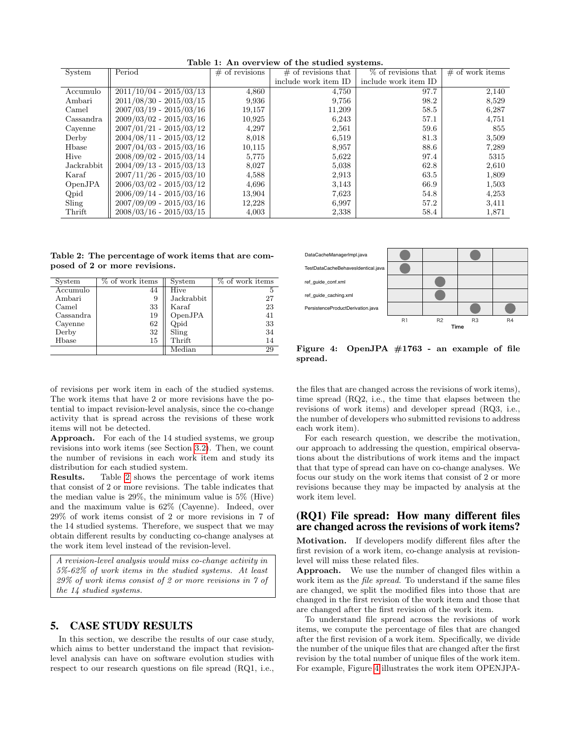| System     | Period                    | $#$ of revisions | $\#$ of revisions that | $%$ of revisions that | $\#$ of work items |
|------------|---------------------------|------------------|------------------------|-----------------------|--------------------|
|            |                           |                  | include work item ID   | include work item ID  |                    |
| Accumulo   | $2011/10/04 - 2015/03/13$ | 4,860            | 4,750                  | 97.7                  | 2,140              |
| Ambari     | $2011/08/30 - 2015/03/15$ | 9,936            | 9,756                  | 98.2                  | 8,529              |
| Camel      | $2007/03/19 - 2015/03/16$ | 19,157           | 11,209                 | 58.5                  | 6,287              |
| Cassandra  | $2009/03/02 - 2015/03/16$ | 10,925           | 6,243                  | 57.1                  | 4,751              |
| Cavenne    | $2007/01/21 - 2015/03/12$ | 4,297            | 2,561                  | 59.6                  | 855                |
| Derby      | $2004/08/11 - 2015/03/12$ | 8,018            | 6,519                  | 81.3                  | 3,509              |
| Hbase      | $2007/04/03 - 2015/03/16$ | 10,115           | 8,957                  | 88.6                  | 7,289              |
| Hive       | $2008/09/02 - 2015/03/14$ | 5,775            | 5.622                  | 97.4                  | 5315               |
| Jackrabbit | $2004/09/13 - 2015/03/13$ | 8,027            | 5,038                  | 62.8                  | 2,610              |
| Karaf      | $2007/11/26 - 2015/03/10$ | 4,588            | 2,913                  | 63.5                  | 1,809              |
| OpenJPA    | $2006/03/02 - 2015/03/12$ | 4,696            | 3,143                  | 66.9                  | 1,503              |
| Qpid       | $2006/09/14 - 2015/03/16$ | 13,904           | 7,623                  | 54.8                  | 4,253              |
| Sling      | $2007/09/09 - 2015/03/16$ | 12,228           | 6.997                  | 57.2                  | 3,411              |
| Thrift     | $2008/03/16 - 2015/03/15$ | 4,003            | 2,338                  | 58.4                  | 1,871              |

<span id="page-3-1"></span>Table 1: An overview of the studied systems.

<span id="page-3-2"></span>Table 2: The percentage of work items that are composed of 2 or more revisions.

| System    | % of work items | System                                                                                                  | % of work items |
|-----------|-----------------|---------------------------------------------------------------------------------------------------------|-----------------|
| Accumulo  | 44              | Hive                                                                                                    |                 |
| Ambari    | 9               | Jackrabbit                                                                                              | 27              |
| Camel     | 33              | Karaf                                                                                                   | 23              |
| Cassandra | 19              | OpenJPA                                                                                                 | 41              |
| Cayenne   | 62              | Qpid                                                                                                    | 33              |
| Derby     | 32              | Sling                                                                                                   | 34              |
| Hbase     | 15              | Thrift                                                                                                  | 14              |
|           |                 | $\operatorname*{Median}% \left( \mathcal{N}\right) \equiv\operatorname*{Area}\left( \mathcal{N}\right)$ | 29              |



<span id="page-3-3"></span>Figure 4: OpenJPA #1763 - an example of file spread.

of revisions per work item in each of the studied systems. The work items that have 2 or more revisions have the potential to impact revision-level analysis, since the co-change activity that is spread across the revisions of these work items will not be detected.

Approach. For each of the 14 studied systems, we group revisions into work items (see Section [3.2\)](#page-2-5). Then, we count the number of revisions in each work item and study its distribution for each studied system.

Results. Table [2](#page-3-2) shows the percentage of work items that consist of 2 or more revisions. The table indicates that the median value is 29%, the minimum value is 5% (Hive) and the maximum value is 62% (Cayenne). Indeed, over 29% of work items consist of 2 or more revisions in 7 of the 14 studied systems. Therefore, we suspect that we may obtain different results by conducting co-change analyses at the work item level instead of the revision-level.

A revision-level analysis would miss co-change activity in 5%-62% of work items in the studied systems. At least 29% of work items consist of 2 or more revisions in 7 of the 14 studied systems.

# <span id="page-3-0"></span>5. CASE STUDY RESULTS

In this section, we describe the results of our case study, which aims to better understand the impact that revisionlevel analysis can have on software evolution studies with respect to our research questions on file spread (RQ1, i.e., the files that are changed across the revisions of work items), time spread (RQ2, i.e., the time that elapses between the revisions of work items) and developer spread (RQ3, i.e., the number of developers who submitted revisions to address each work item).

For each research question, we describe the motivation, our approach to addressing the question, empirical observations about the distributions of work items and the impact that that type of spread can have on co-change analyses. We focus our study on the work items that consist of 2 or more revisions because they may be impacted by analysis at the work item level.

### (RQ1) File spread: How many different files are changed across the revisions of work items?

Motivation. If developers modify different files after the first revision of a work item, co-change analysis at revisionlevel will miss these related files.

Approach. We use the number of changed files within a work item as the file spread. To understand if the same files are changed, we split the modified files into those that are changed in the first revision of the work item and those that are changed after the first revision of the work item.

To understand file spread across the revisions of work items, we compute the percentage of files that are changed after the first revision of a work item. Specifically, we divide the number of the unique files that are changed after the first revision by the total number of unique files of the work item. For example, Figure [4](#page-3-3) illustrates the work item OPENJPA-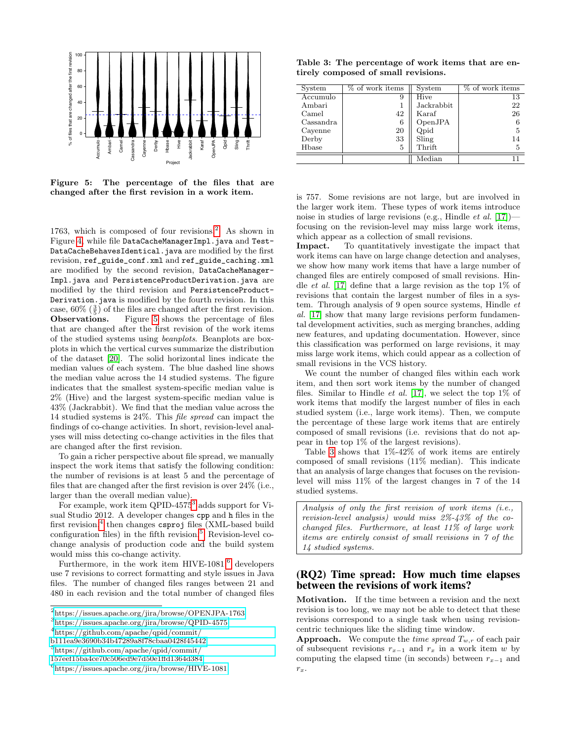

<span id="page-4-1"></span>Figure 5: The percentage of the files that are changed after the first revision in a work item.

1763, which is composed of four revisions. $^{2}$  $^{2}$  $^{2}$  As shown in Figure [4,](#page-3-3) while file DataCacheManagerImpl.java and Test-DataCacheBehavesIdentical.java are modified by the first revision, ref\_guide\_conf.xml and ref\_guide\_caching.xml are modified by the second revision, DataCacheManager-Impl.java and PersistenceProductDerivation.java are modified by the third revision and PersistenceProduct-Derivation.java is modified by the fourth revision. In this case,  $60\%$   $(\frac{3}{5})$  of the files are changed after the first revision. Observations. Figure [5](#page-4-1) shows the percentage of files that are changed after the first revision of the work items of the studied systems using beanplots. Beanplots are boxplots in which the vertical curves summarize the distribution of the dataset [\[20\]](#page-9-24). The solid horizontal lines indicate the median values of each system. The blue dashed line shows the median value across the 14 studied systems. The figure indicates that the smallest system-specific median value is 2% (Hive) and the largest system-specific median value is 43% (Jackrabbit). We find that the median value across the 14 studied systems is 24%. This file spread can impact the findings of co-change activities. In short, revision-level analyses will miss detecting co-change activities in the files that are changed after the first revision.

To gain a richer perspective about file spread, we manually inspect the work items that satisfy the following condition: the number of revisions is at least 5 and the percentage of files that are changed after the first revision is over 24% (i.e., larger than the overall median value).

For example, work item QPID-4575<sup>[3](#page-4-2)</sup> adds support for Visual Studio 2012. A developer changes cpp and h files in the first revision,<sup>[4](#page-4-3)</sup> then changes csproj files (XML-based build configuration files) in the fifth revision.<sup>[5](#page-4-4)</sup> Revision-level cochange analysis of production code and the build system would miss this co-change activity.

Furthermore, in the work item  $HIVE-1081$ , developers use 7 revisions to correct formatting and style issues in Java files. The number of changed files ranges between 21 and 480 in each revision and the total number of changed files

<span id="page-4-0"></span>2 <https://issues.apache.org/jira/browse/OPENJPA-1763>

<span id="page-4-2"></span>3 <https://issues.apache.org/jira/browse/QPID-4575>

<span id="page-4-3"></span>4 [https://github.com/apache/qpid/commit/](https://github.com/apache/qpid/commit/b111ea9e3690b34b47289a8f78cbaa0428f45442)

[b111ea9e3690b34b47289a8f78cbaa0428f45442](https://github.com/apache/qpid/commit/b111ea9e3690b34b47289a8f78cbaa0428f45442)

<span id="page-4-4"></span>5 [https://github.com/apache/qpid/commit/](https://github.com/apache/qpid/commit/157eef15ba4ce70c506ed9e7d50e1ffd1364d384)

<span id="page-4-6"></span>Table 3: The percentage of work items that are entirely composed of small revisions.

| System    | % of work items | System     | % of work items |
|-----------|-----------------|------------|-----------------|
| Accumulo  | 9               | Hive       | 13              |
| Ambari    |                 | Jackrabbit | 22              |
| Camel     | 42              | Karaf      | 26              |
| Cassandra | 6               | OpenJPA    | 6               |
| Cayenne   | 20              | Qpid       | 5               |
| Derby     | 33              | Sling      | 14              |
| Hbase     | 5               | Thrift     | 5               |
|           |                 | Median     |                 |

is 757. Some revisions are not large, but are involved in the larger work item. These types of work items introduce noise in studies of large revisions (e.g., Hindle *et al.* [\[17\]](#page-9-3))focusing on the revision-level may miss large work items, which appear as a collection of small revisions.

Impact. To quantitatively investigate the impact that work items can have on large change detection and analyses, we show how many work items that have a large number of changed files are entirely composed of small revisions. Hindle *et al.* [\[17\]](#page-9-3) define that a large revision as the top 1% of revisions that contain the largest number of files in a system. Through analysis of 9 open source systems, Hindle et al. [\[17\]](#page-9-3) show that many large revisions perform fundamental development activities, such as merging branches, adding new features, and updating documentation. However, since this classification was performed on large revisions, it may miss large work items, which could appear as a collection of small revisions in the VCS history.

We count the number of changed files within each work item, and then sort work items by the number of changed files. Similar to Hindle *et al.* [\[17\]](#page-9-3), we select the top 1\% of work items that modify the largest number of files in each studied system (i.e., large work items). Then, we compute the percentage of these large work items that are entirely composed of small revisions (i.e. revisions that do not appear in the top 1% of the largest revisions).

Table [3](#page-4-6) shows that  $1\% - 42\%$  of work items are entirely composed of small revisions (11% median). This indicate that an analysis of large changes that focuses on the revisionlevel will miss 11% of the largest changes in 7 of the 14 studied systems.

Analysis of only the first revision of work items (i.e., revision-level analysis) would miss 2%-43% of the cochanged files. Furthermore, at least 11% of large work items are entirely consist of small revisions in 7 of the 14 studied systems.

### (RQ2) Time spread: How much time elapses between the revisions of work items?

Motivation. If the time between a revision and the next revision is too long, we may not be able to detect that these revisions correspond to a single task when using revisioncentric techniques like the sliding time window.

**Approach.** We compute the *time spread*  $T_{w,r}$  of each pair of subsequent revisions  $r_{x-1}$  and  $r_x$  in a work item w by computing the elapsed time (in seconds) between  $r_{x-1}$  and  $r_x$ .

[<sup>157</sup>eef15ba4ce70c506ed9e7d50e1ffd1364d384](https://github.com/apache/qpid/commit/157eef15ba4ce70c506ed9e7d50e1ffd1364d384)

<span id="page-4-5"></span><sup>6</sup> <https://issues.apache.org/jira/browse/HIVE-1081>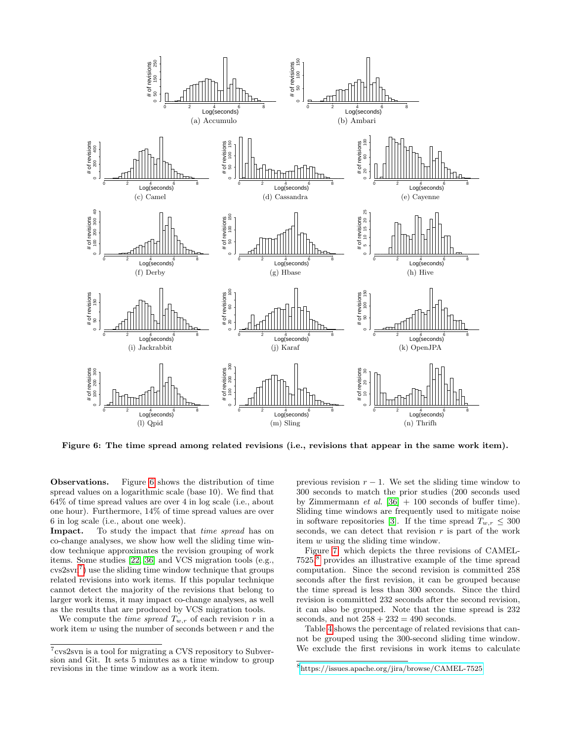

<span id="page-5-0"></span>Figure 6: The time spread among related revisions (i.e., revisions that appear in the same work item).

Observations. Figure [6](#page-5-0) shows the distribution of time spread values on a logarithmic scale (base 10). We find that 64% of time spread values are over 4 in log scale (i.e., about one hour). Furthermore, 14% of time spread values are over 6 in log scale (i.e., about one week).

**Impact.** To study the impact that *time spread* has on co-change analyses, we show how well the sliding time window technique approximates the revision grouping of work items. Some studies [\[22,](#page-9-16) [36\]](#page-9-17) and VCS migration tools (e.g.,  $\cos 2\sin^7$  $\cos 2\sin^7$  use the sliding time window technique that groups related revisions into work items. If this popular technique cannot detect the majority of the revisions that belong to larger work items, it may impact co-change analyses, as well as the results that are produced by VCS migration tools.

We compute the *time spread*  $T_{w,r}$  of each revision r in a work item  $w$  using the number of seconds between  $r$  and the previous revision  $r - 1$ . We set the sliding time window to 300 seconds to match the prior studies (200 seconds used by Zimmermann *et al.* [\[36\]](#page-9-17)  $+$  100 seconds of buffer time). Sliding time windows are frequently used to mitigate noise in software repositories [\[3\]](#page-8-7). If the time spread  $T_{w,r} \leq 300$ seconds, we can detect that revision  $r$  is part of the work item w using the sliding time window.

Figure [7,](#page-6-0) which depicts the three revisions of CAMEL-7525,[8](#page-5-2) provides an illustrative example of the time spread computation. Since the second revision is committed 258 seconds after the first revision, it can be grouped because the time spread is less than 300 seconds. Since the third revision is committed 232 seconds after the second revision, it can also be grouped. Note that the time spread is 232 seconds, and not  $258 + 232 = 490$  seconds.

Table [4](#page-6-1) shows the percentage of related revisions that cannot be grouped using the 300-second sliding time window. We exclude the first revisions in work items to calculate

<span id="page-5-1"></span><sup>7</sup> cvs2svn is a tool for migrating a CVS repository to Subversion and Git. It sets 5 minutes as a time window to group revisions in the time window as a work item.

<span id="page-5-2"></span><sup>8</sup> <https://issues.apache.org/jira/browse/CAMEL-7525>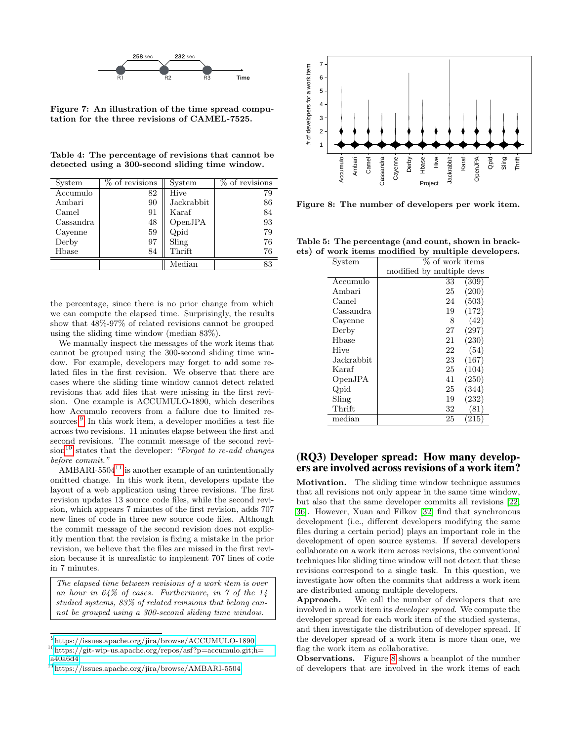

<span id="page-6-0"></span>Figure 7: An illustration of the time spread computation for the three revisions of CAMEL-7525.

<span id="page-6-1"></span>Table 4: The percentage of revisions that cannot be detected using a 300-second sliding time window.

| System    | $%$ of revisions | System     | $%$ of revisions |
|-----------|------------------|------------|------------------|
| Accumulo  | 82               | Hive       | 79               |
| Ambari    | 90               | Jackrabbit | 86               |
| Camel     | 91               | Karaf      | 84               |
| Cassandra | 48               | OpenJPA    | 93               |
| Cayenne   | 59               | Qpid       | 79               |
| Derby     | 97               | Sling      | 76               |
| Hbase     | 84               | Thrift     | 76               |
|           |                  | Median     | 83               |

the percentage, since there is no prior change from which we can compute the elapsed time. Surprisingly, the results show that 48%-97% of related revisions cannot be grouped using the sliding time window (median 83%).

We manually inspect the messages of the work items that cannot be grouped using the 300-second sliding time window. For example, developers may forget to add some related files in the first revision. We observe that there are cases where the sliding time window cannot detect related revisions that add files that were missing in the first revision. One example is ACCUMULO-1890, which describes how Accumulo recovers from a failure due to limited re-sources.<sup>[9](#page-6-2)</sup> In this work item, a developer modifies a test file across two revisions. 11 minutes elapse between the first and second revisions. The commit message of the second revi- $sion<sup>10</sup>$  $sion<sup>10</sup>$  $sion<sup>10</sup>$  states that the developer: "Forgot to re-add changes" before commit."

 $AMBARI-5504<sup>11</sup>$  $AMBARI-5504<sup>11</sup>$  $AMBARI-5504<sup>11</sup>$  is another example of an unintentionally omitted change. In this work item, developers update the layout of a web application using three revisions. The first revision updates 13 source code files, while the second revision, which appears 7 minutes of the first revision, adds 707 new lines of code in three new source code files. Although the commit message of the second revision does not explicitly mention that the revision is fixing a mistake in the prior revision, we believe that the files are missed in the first revision because it is unrealistic to implement 707 lines of code in 7 minutes.

The elapsed time between revisions of a work item is over an hour in  $64\%$  of cases. Furthermore, in 7 of the  $14$ studied systems, 83% of related revisions that belong cannot be grouped using a 300-second sliding time window.



<span id="page-6-5"></span>Figure 8: The number of developers per work item.

Table 5: The percentage (and count, shown in brackets) of work items modified by multiple developers.

<span id="page-6-6"></span>

| % of work items<br>System<br>modified by multiple devs<br>Accumulo<br>(309)<br>33<br>(200)<br>Ambari<br>25<br>(503)<br>24<br>Camel<br>(172)<br>Cassandra<br>19<br>(42)<br>Cayenne<br>8<br>(297)<br>27<br>Derby<br>(230)<br>Hbase<br>21<br>(54)<br>Hive<br>22<br>(167)<br>Jackrabbit<br>23<br>(104)<br>25<br>Karaf<br>(250)<br>OpenJPA<br>41<br>25<br>(344)<br>Qpid |  |  |  |
|--------------------------------------------------------------------------------------------------------------------------------------------------------------------------------------------------------------------------------------------------------------------------------------------------------------------------------------------------------------------|--|--|--|
|                                                                                                                                                                                                                                                                                                                                                                    |  |  |  |
|                                                                                                                                                                                                                                                                                                                                                                    |  |  |  |
|                                                                                                                                                                                                                                                                                                                                                                    |  |  |  |
|                                                                                                                                                                                                                                                                                                                                                                    |  |  |  |
|                                                                                                                                                                                                                                                                                                                                                                    |  |  |  |
|                                                                                                                                                                                                                                                                                                                                                                    |  |  |  |
|                                                                                                                                                                                                                                                                                                                                                                    |  |  |  |
|                                                                                                                                                                                                                                                                                                                                                                    |  |  |  |
|                                                                                                                                                                                                                                                                                                                                                                    |  |  |  |
|                                                                                                                                                                                                                                                                                                                                                                    |  |  |  |
|                                                                                                                                                                                                                                                                                                                                                                    |  |  |  |
|                                                                                                                                                                                                                                                                                                                                                                    |  |  |  |
|                                                                                                                                                                                                                                                                                                                                                                    |  |  |  |
|                                                                                                                                                                                                                                                                                                                                                                    |  |  |  |
| (232)<br>Sling<br>19                                                                                                                                                                                                                                                                                                                                               |  |  |  |
| Thrift<br>(81)<br>32                                                                                                                                                                                                                                                                                                                                               |  |  |  |
| median<br>25<br>215                                                                                                                                                                                                                                                                                                                                                |  |  |  |

### (RQ3) Developer spread: How many developers are involved across revisions of a work item?

Motivation. The sliding time window technique assumes that all revisions not only appear in the same time window, but also that the same developer commits all revisions [\[22,](#page-9-16) [36\]](#page-9-17). However, Xuan and Filkov [\[32\]](#page-9-25) find that synchronous development (i.e., different developers modifying the same files during a certain period) plays an important role in the development of open source systems. If several developers collaborate on a work item across revisions, the conventional techniques like sliding time window will not detect that these revisions correspond to a single task. In this question, we investigate how often the commits that address a work item are distributed among multiple developers.

Approach. We call the number of developers that are involved in a work item its developer spread. We compute the developer spread for each work item of the studied systems, and then investigate the distribution of developer spread. If the developer spread of a work item is more than one, we flag the work item as collaborative.

Observations. Figure [8](#page-6-5) shows a beanplot of the number of developers that are involved in the work items of each

<span id="page-6-2"></span><sup>9</sup> <https://issues.apache.org/jira/browse/ACCUMULO-1890>

<span id="page-6-3"></span> $10$ [https://git-wip-us.apache.org/repos/asf?p=accumulo.git;h=](https://git-wip-us.apache.org/repos/asf?p=accumulo.git;h=a40a6d4) [a40a6d4](https://git-wip-us.apache.org/repos/asf?p=accumulo.git;h=a40a6d4)

<span id="page-6-4"></span> $\rm ^{11}$ <https://issues.apache.org/jira/browse/AMBARI-5504>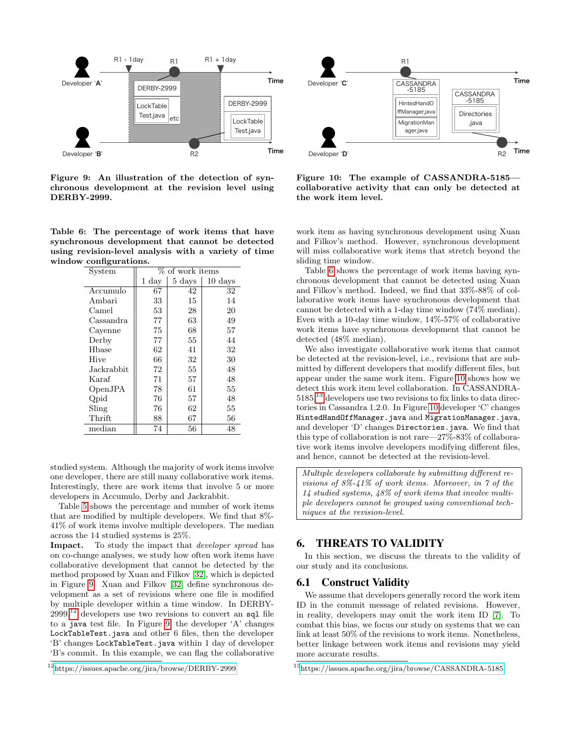

<span id="page-7-1"></span>Figure 9: An illustration of the detection of synchronous development at the revision level using DERBY-2999.

<span id="page-7-3"></span>Table 6: The percentage of work items that have synchronous development that cannot be detected using revision-level analysis with a variety of time window configurations.

| System     |       | % of work items  |                   |
|------------|-------|------------------|-------------------|
|            | 1 day | $5 \;{\rm days}$ | $10 \text{ days}$ |
| Accumulo   | 67    | 42               | 32                |
| Ambari     | 33    | 15               | 14                |
| Camel      | 53    | 28               | 20                |
| Cassandra  | 77    | 63               | 49                |
| Cavenne    | 75    | 68               | 57                |
| Derby      | 77    | 55               | 44                |
| Hbase      | 62    | 41               | 32                |
| Hive       | 66    | 32               | 30                |
| Jackrabbit | 72    | 55               | 48                |
| Karaf      | 71    | 57               | 48                |
| OpenJPA    | 78    | 61               | 55                |
| Qpid       | 76    | 57               | 48                |
| Sling      | 76    | 62               | 55                |
| Thrift     | 88    | 67               | 56                |
| median     | 74    | 56               | 48                |

studied system. Although the majority of work items involve one developer, there are still many collaborative work items. Interestingly, there are work items that involve 5 or more developers in Accumulo, Derby and Jackrabbit.

Table [5](#page-6-6) shows the percentage and number of work items that are modified by multiple developers. We find that 8%- 41% of work items involve multiple developers. The median across the 14 studied systems is 25%.

Impact. To study the impact that *developer spread* has on co-change analyses, we study how often work items have collaborative development that cannot be detected by the method proposed by Xuan and Filkov [\[32\]](#page-9-25), which is depicted in Figure [9.](#page-7-1) Xuan and Filkov [\[32\]](#page-9-25) define synchronous development as a set of revisions where one file is modified by multiple developer within a time window. In DERBY- $2999<sup>12</sup>$  $2999<sup>12</sup>$  $2999<sup>12</sup>$  developers use two revisions to convert an sql file to a java test file. In Figure [9,](#page-7-1) the developer 'A' changes LockTableTest.java and other 6 files, then the developer 'B' changes LockTableTest.java within 1 day of developer 'B's commit. In this example, we can flag the collaborative



<span id="page-7-4"></span>Figure 10: The example of CASSANDRA-5185 collaborative activity that can only be detected at the work item level.

work item as having synchronous development using Xuan and Filkov's method. However, synchronous development will miss collaborative work items that stretch beyond the sliding time window.

Table [6](#page-7-3) shows the percentage of work items having synchronous development that cannot be detected using Xuan and Filkov's method. Indeed, we find that 33%-88% of collaborative work items have synchronous development that cannot be detected with a 1-day time window (74% median). Even with a 10-day time window, 14%-57% of collaborative work items have synchronous development that cannot be detected (48% median).

We also investigate collaborative work items that cannot be detected at the revision-level, i.e., revisions that are submitted by different developers that modify different files, but appear under the same work item. Figure [10](#page-7-4) shows how we detect this work item level collaboration. In CASSANDRA- $5185<sup>13</sup>$  $5185<sup>13</sup>$  $5185<sup>13</sup>$  developers use two revisions to fix links to data directories in Cassandra 1.2.0. In Figure [10](#page-7-4) developer 'C' changes HintedHandOffManager.java and MigrationManager.java, and developer 'D' changes Directories.java. We find that this type of collaboration is not rare—27%-83% of collaborative work items involve developers modifying different files, and hence, cannot be detected at the revision-level.

Multiple developers collaborate by submitting different revisions of 8%-41% of work items. Moreover, in 7 of the 14 studied systems, 48% of work items that involve multiple developers cannot be grouped using conventional techniques at the revision-level.

### <span id="page-7-0"></span>6. THREATS TO VALIDITY

In this section, we discuss the threats to the validity of our study and its conclusions.

#### 6.1 Construct Validity

We assume that developers generally record the work item ID in the commit message of related revisions. However, in reality, developers may omit the work item ID [\[7\]](#page-8-8). To combat this bias, we focus our study on systems that we can link at least 50% of the revisions to work items. Nonetheless, better linkage between work items and revisions may yield more accurate results.

<span id="page-7-2"></span><sup>12</sup><https://issues.apache.org/jira/browse/DERBY-2999>

<span id="page-7-5"></span><sup>13</sup><https://issues.apache.org/jira/browse/CASSANDRA-5185>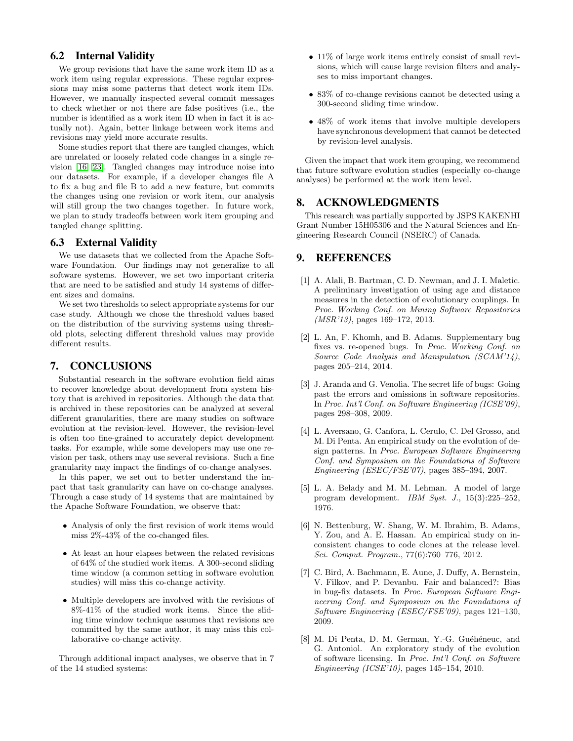# 6.2 Internal Validity

We group revisions that have the same work item ID as a work item using regular expressions. These regular expressions may miss some patterns that detect work item IDs. However, we manually inspected several commit messages to check whether or not there are false positives (i.e., the number is identified as a work item ID when in fact it is actually not). Again, better linkage between work items and revisions may yield more accurate results.

Some studies report that there are tangled changes, which are unrelated or loosely related code changes in a single revision [\[16,](#page-9-26) [23\]](#page-9-27). Tangled changes may introduce noise into our datasets. For example, if a developer changes file A to fix a bug and file B to add a new feature, but commits the changes using one revision or work item, our analysis will still group the two changes together. In future work, we plan to study tradeoffs between work item grouping and tangled change splitting.

# 6.3 External Validity

We use datasets that we collected from the Apache Software Foundation. Our findings may not generalize to all software systems. However, we set two important criteria that are need to be satisfied and study 14 systems of different sizes and domains.

We set two thresholds to select appropriate systems for our case study. Although we chose the threshold values based on the distribution of the surviving systems using threshold plots, selecting different threshold values may provide different results.

# <span id="page-8-3"></span>7. CONCLUSIONS

Substantial research in the software evolution field aims to recover knowledge about development from system history that is archived in repositories. Although the data that is archived in these repositories can be analyzed at several different granularities, there are many studies on software evolution at the revision-level. However, the revision-level is often too fine-grained to accurately depict development tasks. For example, while some developers may use one revision per task, others may use several revisions. Such a fine granularity may impact the findings of co-change analyses.

In this paper, we set out to better understand the impact that task granularity can have on co-change analyses. Through a case study of 14 systems that are maintained by the Apache Software Foundation, we observe that:

- Analysis of only the first revision of work items would miss 2%-43% of the co-changed files.
- At least an hour elapses between the related revisions of 64% of the studied work items. A 300-second sliding time window (a common setting in software evolution studies) will miss this co-change activity.
- Multiple developers are involved with the revisions of 8%-41% of the studied work items. Since the sliding time window technique assumes that revisions are committed by the same author, it may miss this collaborative co-change activity.

Through additional impact analyses, we observe that in 7 of the 14 studied systems:

- 11% of large work items entirely consist of small revisions, which will cause large revision filters and analyses to miss important changes.
- 83% of co-change revisions cannot be detected using a 300-second sliding time window.
- 48\% of work items that involve multiple developers have synchronous development that cannot be detected by revision-level analysis.

Given the impact that work item grouping, we recommend that future software evolution studies (especially co-change analyses) be performed at the work item level.

### 8. ACKNOWLEDGMENTS

This research was partially supported by JSPS KAKENHI Grant Number 15H05306 and the Natural Sciences and Engineering Research Council (NSERC) of Canada.

### 9. REFERENCES

- <span id="page-8-4"></span>[1] A. Alali, B. Bartman, C. D. Newman, and J. I. Maletic. A preliminary investigation of using age and distance measures in the detection of evolutionary couplings. In Proc. Working Conf. on Mining Software Repositories (MSR'13), pages 169–172, 2013.
- <span id="page-8-6"></span>[2] L. An, F. Khomh, and B. Adams. Supplementary bug fixes vs. re-opened bugs. In Proc. Working Conf. on Source Code Analysis and Manipulation (SCAM'14), pages 205–214, 2014.
- <span id="page-8-7"></span>[3] J. Aranda and G. Venolia. The secret life of bugs: Going past the errors and omissions in software repositories. In Proc. Int'l Conf. on Software Engineering (ICSE'09), pages 298–308, 2009.
- <span id="page-8-5"></span>[4] L. Aversano, G. Canfora, L. Cerulo, C. Del Grosso, and M. Di Penta. An empirical study on the evolution of design patterns. In Proc. European Software Engineering Conf. and Symposium on the Foundations of Software Engineering (ESEC/FSE'07), pages 385–394, 2007.
- <span id="page-8-0"></span>[5] L. A. Belady and M. M. Lehman. A model of large program development. IBM Syst. J., 15(3):225–252, 1976.
- <span id="page-8-2"></span>[6] N. Bettenburg, W. Shang, W. M. Ibrahim, B. Adams, Y. Zou, and A. E. Hassan. An empirical study on inconsistent changes to code clones at the release level. Sci. Comput. Program., 77(6):760–776, 2012.
- <span id="page-8-8"></span>[7] C. Bird, A. Bachmann, E. Aune, J. Duffy, A. Bernstein, V. Filkov, and P. Devanbu. Fair and balanced?: Bias in bug-fix datasets. In Proc. European Software Engineering Conf. and Symposium on the Foundations of Software Engineering (ESEC/FSE'09), pages 121–130, 2009.
- <span id="page-8-1"></span>[8] M. Di Penta, D. M. German, Y.-G. Guéhéneuc, and G. Antoniol. An exploratory study of the evolution of software licensing. In Proc. Int'l Conf. on Software Engineering (ICSE'10), pages 145–154, 2010.